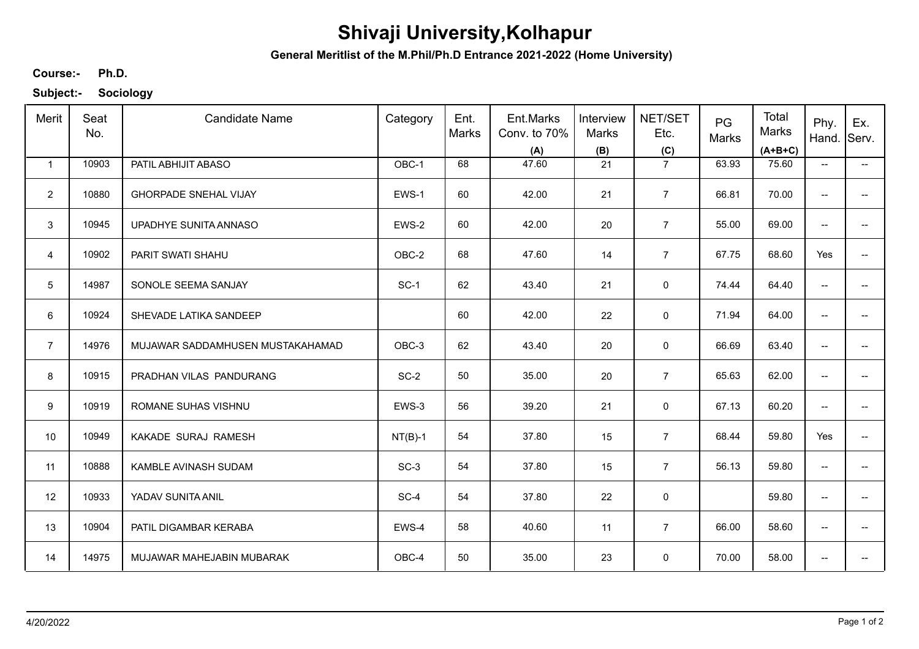## **Shivaji University,Kolhapur**

**General Meritlist of the M.Phil/Ph.D Entrance 2021-2022 (Home University)**

**Ph.D. Course:-**

**Subject:- Sociology**

| Merit          | Seat<br>No. | <b>Candidate Name</b>            | Category  | Ent.<br>Marks | Ent.Marks<br>Conv. to 70%<br>(A) | Interview<br>Marks<br>(B) | NET/SET<br>Etc.<br>(C) | PG<br>Marks | Total<br><b>Marks</b><br>$(A+B+C)$ | Phy.<br>Hand.                       | Ex.<br>Serv.             |
|----------------|-------------|----------------------------------|-----------|---------------|----------------------------------|---------------------------|------------------------|-------------|------------------------------------|-------------------------------------|--------------------------|
| $\mathbf{1}$   | 10903       | PATIL ABHIJIT ABASO              | OBC-1     | 68            | 47.60                            | 21                        | $\overline{7}$         | 63.93       | 75.60                              | $\hspace{0.05cm}$ $\hspace{0.05cm}$ | −−                       |
| $\overline{2}$ | 10880       | <b>GHORPADE SNEHAL VIJAY</b>     | EWS-1     | 60            | 42.00                            | 21                        | $\overline{7}$         | 66.81       | 70.00                              | $\overline{\phantom{a}}$            |                          |
| 3              | 10945       | UPADHYE SUNITA ANNASO            | EWS-2     | 60            | 42.00                            | 20                        | $\overline{7}$         | 55.00       | 69.00                              | $\overline{\phantom{a}}$            | $\qquad \qquad -$        |
| $\overline{4}$ | 10902       | PARIT SWATI SHAHU                | OBC-2     | 68            | 47.60                            | 14                        | $\overline{7}$         | 67.75       | 68.60                              | Yes                                 | $\overline{\phantom{a}}$ |
| 5              | 14987       | SONOLE SEEMA SANJAY              | $SC-1$    | 62            | 43.40                            | 21                        | 0                      | 74.44       | 64.40                              | $\overline{\phantom{a}}$            | $\overline{\phantom{a}}$ |
| 6              | 10924       | SHEVADE LATIKA SANDEEP           |           | 60            | 42.00                            | 22                        | $\mathbf 0$            | 71.94       | 64.00                              | $\overline{\phantom{m}}$            | $\overline{\phantom{a}}$ |
| $\overline{7}$ | 14976       | MUJAWAR SADDAMHUSEN MUSTAKAHAMAD | OBC-3     | 62            | 43.40                            | 20                        | $\mathbf 0$            | 66.69       | 63.40                              | $\overline{\phantom{a}}$            |                          |
| 8              | 10915       | PRADHAN VILAS PANDURANG          | $SC-2$    | 50            | 35.00                            | 20                        | $\overline{7}$         | 65.63       | 62.00                              | $\overline{\phantom{m}}$            |                          |
| 9              | 10919       | ROMANE SUHAS VISHNU              | EWS-3     | 56            | 39.20                            | 21                        | 0                      | 67.13       | 60.20                              | $\overline{\phantom{a}}$            |                          |
| 10             | 10949       | KAKADE SURAJ RAMESH              | $NT(B)-1$ | 54            | 37.80                            | 15                        | $\overline{7}$         | 68.44       | 59.80                              | Yes                                 | $\overline{\phantom{a}}$ |
| 11             | 10888       | KAMBLE AVINASH SUDAM             | $SC-3$    | 54            | 37.80                            | 15                        | $\overline{7}$         | 56.13       | 59.80                              | $\overline{\phantom{a}}$            | $\overline{a}$           |
| 12             | 10933       | YADAV SUNITA ANIL                | SC-4      | 54            | 37.80                            | 22                        | $\mathsf 0$            |             | 59.80                              | $\overline{\phantom{m}}$            | $\overline{\phantom{a}}$ |
| 13             | 10904       | PATIL DIGAMBAR KERABA            | EWS-4     | 58            | 40.60                            | 11                        | $\overline{7}$         | 66.00       | 58.60                              | $\overline{\phantom{a}}$            | $\overline{\phantom{a}}$ |
| 14             | 14975       | MUJAWAR MAHEJABIN MUBARAK        | OBC-4     | 50            | 35.00                            | 23                        | 0                      | 70.00       | 58.00                              | $\overline{\phantom{a}}$            |                          |